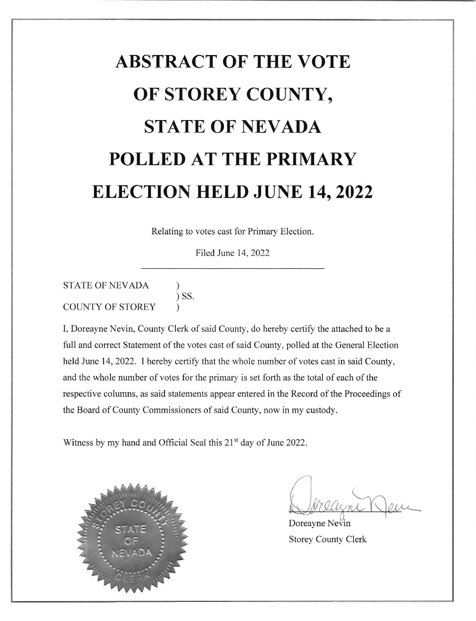# ABSTRACT OF THE VOTE OF STOREY COUNTY, STATE OF NEVADA POLLED AT THE PRIMARY ELECTION HELD JUNE 14,2022

Relating to votes cast for Primary Election.

Filed June 14.2022

STATE OF NEVADA ) ) SS. ) COUNTY OF STOREY

I, Doreayne Nevin, County Clerk of said County, do hereby certify the attached to be a full and correct Statement of the votes cast of said County, polled at the General Election held June 14, 2022. I hereby certify that the whole number of votes cast in said County, and the whole number of votes for the primary is set forth as the total of each of the respective columns, as said statements appear entered in the Record of the Proceedings of the Board of County Commissioners of said County, now in my custody.

Witness by my hand and Official Seal this 21<sup>st</sup> day of June 2022.



IJ

Doreayne Nevin Storey County Clerk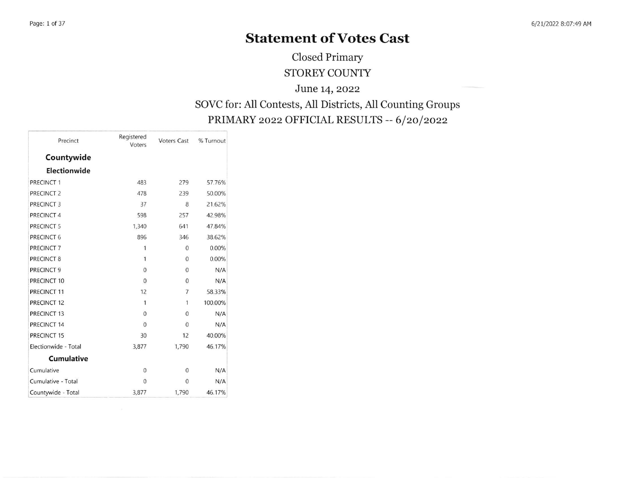## Statement of Votes Cast

Closed Primary STOREY COUNTY

June 14, 2022

#### SOVC for: All Contests, All Districts, AII Counting Groups PRIMARY 2022 OFFICIAL RESULTS -- 6/20/2022

| Precinct              | Registered<br>Voters | <b>Voters Cast</b> | % Turnout |
|-----------------------|----------------------|--------------------|-----------|
| Countywide            |                      |                    |           |
| Electionwide          |                      |                    |           |
| PRECINCT 1            | 483                  | 279                | 57.76%    |
| PRECINCT <sub>2</sub> | 478                  | 239                | 50.00%    |
| PRECINCT 3            | 37                   | 8                  | 21.62%    |
| PRECINCT 4            | 598                  | 257                | 42.98%    |
| PRECINCT 5            | 1,340                | 641                | 47.84%    |
| PRECINCT 6            | 896                  | 346                | 38.62%    |
| PRECINCT 7            | $\mathbf{1}$         | $\Omega$           | 0.00%     |
| PRECINCT 8            | $\mathbf{1}$         | $\mathbf{0}$       | 0.00%     |
| PRECINCT 9            | $\mathbf{0}$         | $\overline{0}$     | N/A       |
| PRECINCT 10           | $\mathbf{0}$         | $\mathbf{0}$       | N/A       |
| PRECINCT 11           | 12                   | 7                  | 58.33%    |
| PRECINCT 12           | 1                    | 1                  | 100.00%   |
| PRECINCT 13           | $\mathbf{0}$         | $\mathbf{0}$       | N/A       |
| PRECINCT 14           | $\overline{0}$       | $\overline{0}$     | N/A       |
| PRECINCT 15           | 30                   | 12                 | 40.00%    |
| Electionwide - Total  | 3,877                | 1,790              | 46.17%    |
| <b>Cumulative</b>     |                      |                    |           |
| Cumulative            | $\mathbf{0}$         | $\mathbf{0}$       | N/A       |
| Cumulative - Total    | $\mathbf{0}$         | $\mathbf{0}$       | N/A       |
| Countywide - Total    | 3,877                | 1,790              | 46.17%    |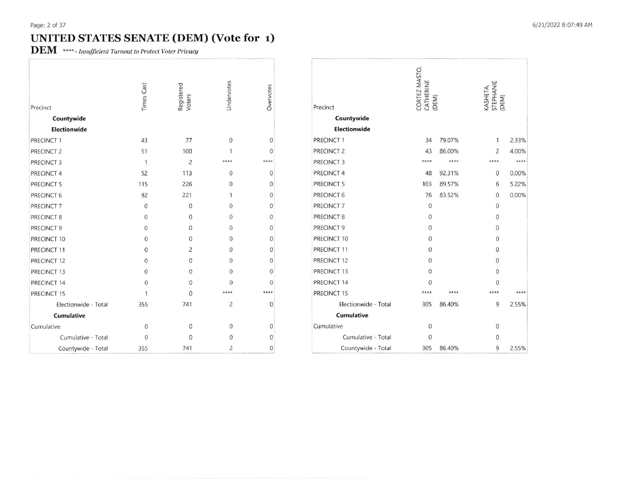### UNITED STATES SENATE (DEM) (Vote for 1)

**DEM** \*\*\*\*- Insufficient Turnout to Protect Voter Privacy

| Precinct              | <b>Times Cast</b> | Registered<br>Voters | Undervotes     | Overvotes        |
|-----------------------|-------------------|----------------------|----------------|------------------|
| Countywide            |                   |                      |                |                  |
| Electionwide          |                   |                      |                |                  |
| PRECINCT 1            | 43                | 77                   | $\overline{0}$ | $\mathbf{0}$     |
| PRECINCT <sub>2</sub> | 51                | 100                  | 1              | $\mathbf{0}$     |
| PRECINCT 3            | $\mathbf{1}$      | $\overline{c}$       | ****           | ****             |
| PRECINCT 4            | 52                | 113                  | $\Omega$       | $\mathbf{0}$     |
| PRECINCT 5            | 115               | 226                  | $\overline{0}$ | $\mathbf{0}$     |
| PRECINCT 6            | 92                | 221                  | $\mathbf{1}$   | $\mathbf{0}$     |
| PRECINCT <sub>7</sub> | $\mathbf{0}$      | $\Omega$             | $\Omega$       | $\boldsymbol{0}$ |
| PRECINCT 8            | $\theta$          | $\Omega$             | $\Omega$       | $\mathbf{0}$     |
| PRECINCT 9            | $\overline{0}$    | $\mathbf{0}$         | $\Omega$       | $\mathbf{0}$     |
| PRECINCT 10           | $\overline{0}$    | $\overline{0}$       | $\Omega$       | $\mathbf{0}$     |
| PRECINCT 11           | $\overline{0}$    | $\overline{c}$       | $\Omega$       | $\boldsymbol{0}$ |
| PRECINCT 12           | $\Omega$          | $\mathbf{0}$         | 0              | $\mathbf{0}$     |
| PRECINCT 13           | $\mathbf{0}$      | $\Omega$             | $\theta$       | $\mathbf{0}$     |
| PRECINCT 14           | $\mathbf{0}$      | $\Omega$             | $\Omega$       | $\Omega$         |
| PRECINCT 15           | 1                 | $\Omega$             | ****           | ****             |
| Electionwide - Total  | 355               | 741                  | $\overline{2}$ | $\boldsymbol{0}$ |
| <b>Cumulative</b>     |                   |                      |                |                  |
| Cumulative            | $\mathbf 0$       | $\mathbf{0}$         | $\Omega$       | $\mathbf{0}$     |
| Cumulative - Total    | $\theta$          | $\theta$             | $\Omega$       | $\mathbf{0}$     |
| Countywide - Total    | 355               | 741                  | $\overline{2}$ | $\mathbf{0}$     |

| Precinct              | CORTEZ MASTO,<br>CATHERINE<br>(DEM) |        | KASHETA,<br>STEPHANIE<br>(DEM) |  |  |
|-----------------------|-------------------------------------|--------|--------------------------------|--|--|
| Countywide            |                                     |        |                                |  |  |
| <b>Electionwide</b>   |                                     |        |                                |  |  |
| PRECINCT 1            | 34                                  | 79.07% | 1<br>2.33%                     |  |  |
| PRECINCT <sub>2</sub> | 43                                  | 86.00% | $\overline{c}$<br>4.00%        |  |  |
| PRECINCT 3            | ****                                | ****   | ****<br>****                   |  |  |
| PRECINCT 4            | 48                                  | 92.31% | $\mathbf{0}$<br>0.00%          |  |  |
| PRECINCT 5            | 103                                 | 89.57% | 6<br>5.22%                     |  |  |
| PRECINCT 6            | 76                                  | 83.52% | $\mathbf{0}$<br>0.00%          |  |  |
| PRECINCT <sub>7</sub> | $\mathbf{0}$                        |        | $\mathbf{0}$                   |  |  |
| PRECINCT 8            | $\mathbf{0}$                        |        | $\Omega$                       |  |  |
| PRECINCT 9            | $\mathbf{0}$                        |        | $\mathbf{0}$                   |  |  |
| PRECINCT 10           | $\mathbf{0}$                        |        | $\mathbf{0}$                   |  |  |
| PRECINCT 11           | $\mathbf{0}$                        |        | $\mathbf{0}$                   |  |  |
| PRECINCT 12           | $\mathbf{0}$                        |        | $\mathbf{0}$                   |  |  |
| PRECINCT 13           | $\theta$                            |        | 0                              |  |  |
| PRECINCT 14           | 0                                   |        | 0                              |  |  |
| PRECINCT 15           | ****                                | ****   | ****                           |  |  |
| Electionwide - Total  | 305                                 | 86.40% | 9<br>2.55%                     |  |  |
| <b>Cumulative</b>     |                                     |        |                                |  |  |
| Cumulative            | $\mathbf 0$                         |        | 0                              |  |  |
| Cumulative - Total    | $\mathbf{0}$                        |        | 0                              |  |  |
| Countywide - Total    | 305                                 | 86.40% | 9<br>2.55%                     |  |  |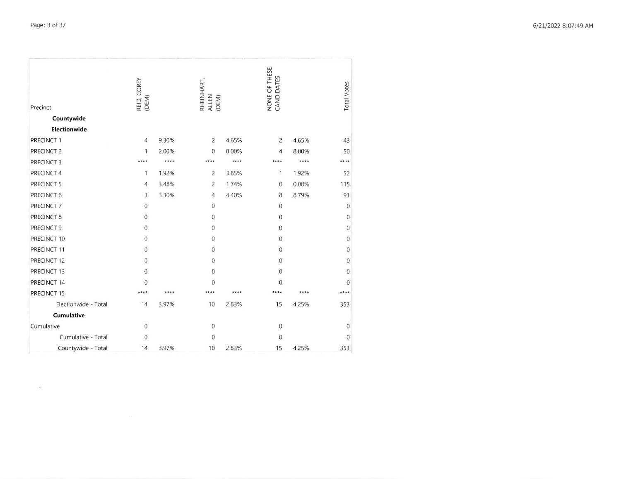$\mathcal{A}$ 

| Precinct              | REID, COREY<br>(DEM) |       | RHEINHART,<br>ALLEN<br>(DEM) |       | NONE OF THESE<br>CANDIDATES |       | <b>Total Votes</b> |
|-----------------------|----------------------|-------|------------------------------|-------|-----------------------------|-------|--------------------|
| Countywide            |                      |       |                              |       |                             |       |                    |
| <b>Electionwide</b>   |                      |       |                              |       |                             |       |                    |
| PRECINCT 1            | 4                    | 9.30% | 2                            | 4.65% | $\overline{c}$              | 4.65% | 43                 |
| PRECINCT <sub>2</sub> | 1                    | 2.00% | $\mathbf{0}$                 | 0.00% | 4                           | 8.00% | 50                 |
| PRECINCT 3            | ****                 | ****  | ****                         | ****  | ****                        | ****  | ****               |
| PRECINCT 4            | 1                    | 1.92% | $\overline{c}$               | 3.85% | 1                           | 1.92% | 52                 |
| PRECINCT 5            | 4                    | 3.48% | $\overline{c}$               | 1.74% | $\mathbf{0}$                | 0.00% | 115                |
| PRECINCT 6            | 3                    | 3.30% | 4                            | 4.40% | 8                           | 8.79% | 91                 |
| PRECINCT 7            | 0                    |       | $\mathbf 0$                  |       | $\mathbf{0}$                |       | $\mathbf{0}$       |
| PRECINCT 8            | 0                    |       | $\mathbf{0}$                 |       | $\mathbf{0}$                |       | $\mathbf{0}$       |
| PRECINCT 9            | 0                    |       | $\mathbf{0}$                 |       | $\mathbf{0}$                |       | $\mathbf{0}$       |
| PRECINCT 10           | 0                    |       | $\mathbf 0$                  |       | $\boldsymbol{0}$            |       | $\mathbf{0}$       |
| PRECINCT 11           | $\overline{0}$       |       | $\mathbf{0}$                 |       | $\theta$                    |       | $\mathbf{0}$       |
| PRECINCT 12           | 0                    |       | $\mathbf 0$                  |       | $\mathbf{0}$                |       | $\mathbf{0}$       |
| PRECINCT 13           | $\mathbf 0$          |       | $\mathbf{0}$                 |       | $\overline{0}$              |       | $\mathbf{0}$       |
| PRECINCT 14           | $\mathbf{0}$         |       | 0                            |       | $\overline{0}$              |       | $\mathbf{0}$       |
| PRECINCT 15           | ****                 | ****  | ****                         | ****  | ****                        | ****  | ****               |
| Electionwide - Total  | 14                   | 3.97% | 10                           | 2.83% | 15                          | 4.25% | 353                |
| Cumulative            |                      |       |                              |       |                             |       |                    |
| Cumulative            | 0                    |       | $\boldsymbol{0}$             |       | $\mathbf{0}$                |       | $\mathbf 0$        |
| Cumulative - Total    | 0                    |       | $\mathbf{0}$                 |       | $\mathbf{0}$                |       | $\mathbf{0}$       |
| Countywide - Total    | 14                   | 3.97% | 10                           | 2.83% | 15                          | 4.25% | 353                |